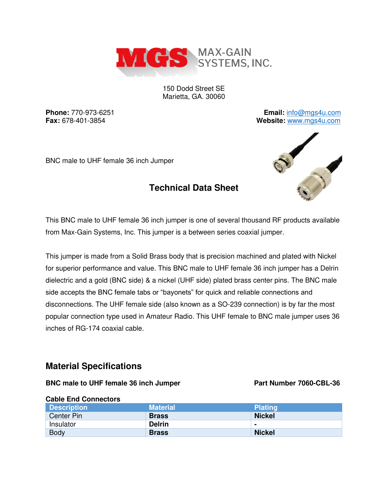

150 Dodd Street SE Marietta, GA. 30060

**Phone:** 770-973-6251 **Email:** [info@mgs4u.com](mailto:info@mgs4u.com) **Fax:** 678-401-3854 **Website:** [www.mgs4u.com](http://www.mgs4u.com/)

BNC male to UHF female 36 inch Jumper

# **Technical Data Sheet**



This BNC male to UHF female 36 inch jumper is one of several thousand RF products available from Max-Gain Systems, Inc. This jumper is a between series coaxial jumper.

This jumper is made from a Solid Brass body that is precision machined and plated with Nickel for superior performance and value. This BNC male to UHF female 36 inch jumper has a Delrin dielectric and a gold (BNC side) & a nickel (UHF side) plated brass center pins. The BNC male side accepts the BNC female tabs or "bayonets" for quick and reliable connections and disconnections. The UHF female side (also known as a SO-239 connection) is by far the most popular connection type used in Amateur Radio. This UHF female to BNC male jumper uses 36 inches of RG-174 coaxial cable.

## **Material Specifications**

### BNC male to UHF female 36 inch Jumper Part Number 7060-CBL-36

### **Cable End Connectors Description Material Plating Plating According According According According Plating Plating Center Pin Brass Nickel Brass Nickel Nickel Insulator Delrin** Body **Brass Nickel Brass** Nickel **Reserves**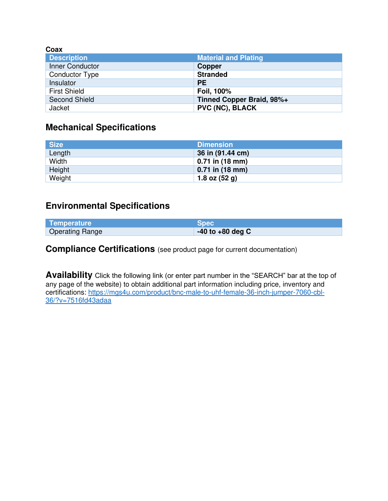| Coax                  |                             |
|-----------------------|-----------------------------|
| <b>Description</b>    | <b>Material and Plating</b> |
| Inner Conductor       | <b>Copper</b>               |
| <b>Conductor Type</b> | <b>Stranded</b>             |
| Insulator             | <b>PE</b>                   |
| <b>First Shield</b>   | Foil, 100%                  |
| <b>Second Shield</b>  | Tinned Copper Braid, 98%+   |
| Jacket                | <b>PVC (NC), BLACK</b>      |

# **Mechanical Specifications**

| <b>Size</b> | <b>Dimension</b>  |
|-------------|-------------------|
| Length      | 36 in (91.44 cm)  |
| Width       | $0.71$ in (18 mm) |
| Height      | $0.71$ in (18 mm) |
| Weight      | 1.8 oz $(52 g)$   |

# **Environmental Specifications**

| Temperature            | <b>Spec</b>          |
|------------------------|----------------------|
| <b>Operating Range</b> | $-40$ to $+80$ deg C |

**Compliance Certifications** (see product page for current documentation)

**Availability** Click the following link (or enter part number in the "SEARCH" bar at the top of any page of the website) to obtain additional part information including price, inventory and certifications: [https://mgs4u.com/product/bnc-male-to-uhf-female-36-inch-jumper-7060-cbl-](https://mgs4u.com/product/bnc-male-to-uhf-female-36-inch-jumper-7060-cbl-36/?v=7516fd43adaa)[36/?v=7516fd43adaa](https://mgs4u.com/product/bnc-male-to-uhf-female-36-inch-jumper-7060-cbl-36/?v=7516fd43adaa)